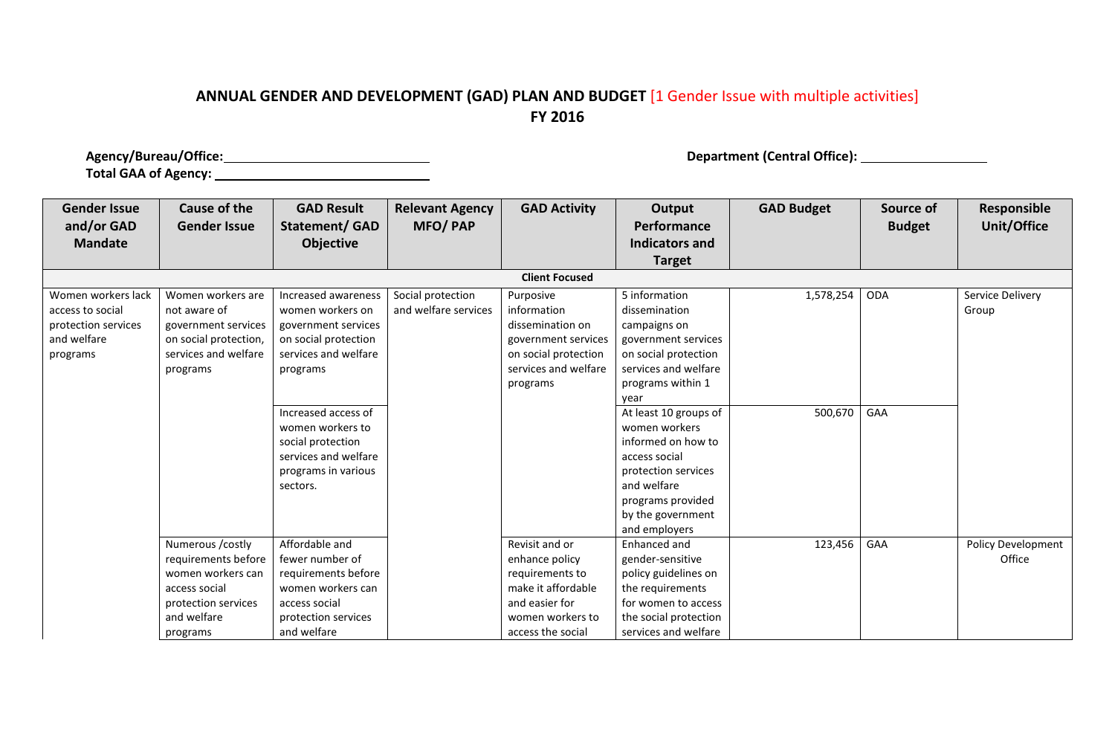## **ANNUAL GENDER AND DEVELOPMENT (GAD) PLAN AND BUDGET** [1 Gender Issue with multiple activities] **FY 2016**

**Agency/Bureau/Office: Department (Central Office): Total GAA of Agency:** 

| <b>Gender Issue</b><br>and/or GAD                                                        | <b>Cause of the</b><br><b>Gender Issue</b>                                                                                      | <b>GAD Result</b><br><b>Statement/ GAD</b>                                                                                                                                                                                                            | <b>Relevant Agency</b><br><b>MFO/PAP</b>  | <b>GAD Activity</b>                                                                                                                  | Output<br>Performance                                                                                                                                                                                                                                                                                               | <b>GAD Budget</b>    | Source of<br><b>Budget</b> | Responsible<br>Unit/Office   |
|------------------------------------------------------------------------------------------|---------------------------------------------------------------------------------------------------------------------------------|-------------------------------------------------------------------------------------------------------------------------------------------------------------------------------------------------------------------------------------------------------|-------------------------------------------|--------------------------------------------------------------------------------------------------------------------------------------|---------------------------------------------------------------------------------------------------------------------------------------------------------------------------------------------------------------------------------------------------------------------------------------------------------------------|----------------------|----------------------------|------------------------------|
| <b>Mandate</b>                                                                           |                                                                                                                                 | <b>Objective</b>                                                                                                                                                                                                                                      |                                           |                                                                                                                                      | <b>Indicators and</b>                                                                                                                                                                                                                                                                                               |                      |                            |                              |
|                                                                                          |                                                                                                                                 |                                                                                                                                                                                                                                                       |                                           |                                                                                                                                      | <b>Target</b>                                                                                                                                                                                                                                                                                                       |                      |                            |                              |
|                                                                                          |                                                                                                                                 |                                                                                                                                                                                                                                                       |                                           | <b>Client Focused</b>                                                                                                                |                                                                                                                                                                                                                                                                                                                     |                      |                            |                              |
| Women workers lack<br>access to social<br>protection services<br>and welfare<br>programs | Women workers are<br>not aware of<br>government services<br>on social protection,<br>services and welfare<br>programs           | Increased awareness<br>women workers on<br>government services<br>on social protection<br>services and welfare<br>programs<br>Increased access of<br>women workers to<br>social protection<br>services and welfare<br>programs in various<br>sectors. | Social protection<br>and welfare services | Purposive<br>information<br>dissemination on<br>government services<br>on social protection<br>services and welfare<br>programs      | 5 information<br>dissemination<br>campaigns on<br>government services<br>on social protection<br>services and welfare<br>programs within 1<br>year<br>At least 10 groups of<br>women workers<br>informed on how to<br>access social<br>protection services<br>and welfare<br>programs provided<br>by the government | 1,578,254<br>500,670 | ODA<br>GAA                 | Service Delivery<br>Group    |
|                                                                                          | Numerous /costly<br>requirements before<br>women workers can<br>access social<br>protection services<br>and welfare<br>programs | Affordable and<br>fewer number of<br>requirements before<br>women workers can<br>access social<br>protection services<br>and welfare                                                                                                                  |                                           | Revisit and or<br>enhance policy<br>requirements to<br>make it affordable<br>and easier for<br>women workers to<br>access the social | and employers<br>Enhanced and<br>gender-sensitive<br>policy guidelines on<br>the requirements<br>for women to access<br>the social protection<br>services and welfare                                                                                                                                               | 123,456              | GAA                        | Policy Development<br>Office |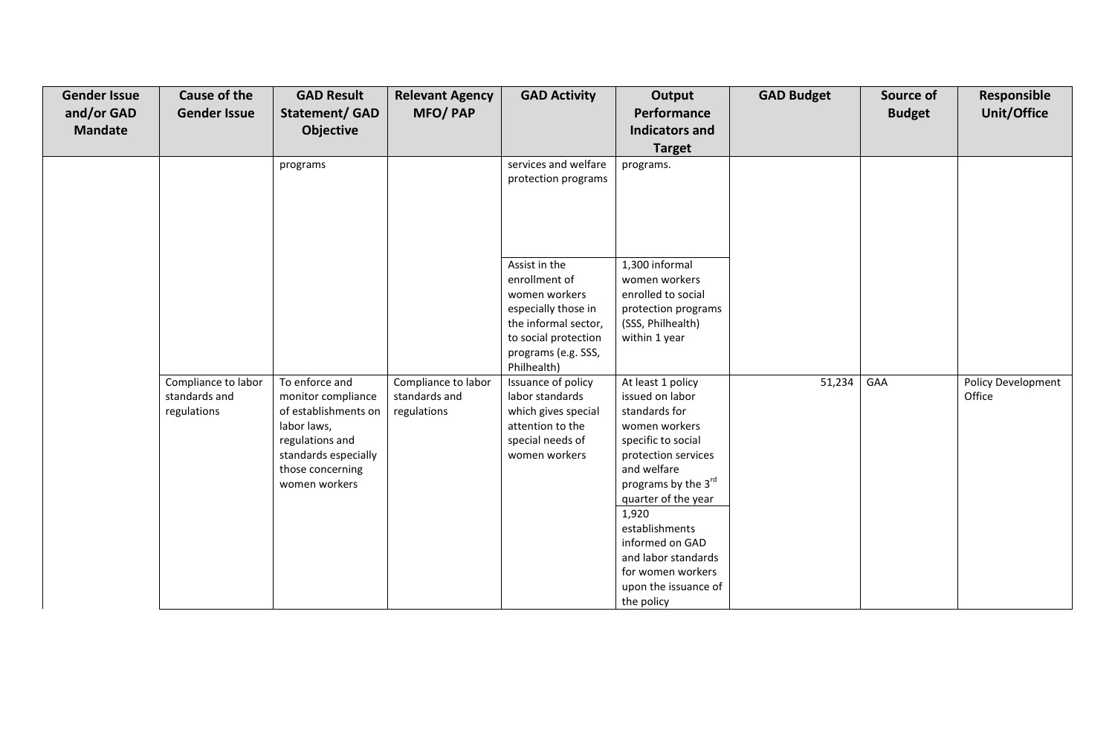| <b>Gender Issue</b> | <b>Cause of the</b>                                 | <b>GAD Result</b>                                                                                                                                           | <b>Relevant Agency</b>                              | <b>GAD Activity</b>                                                                                                                                                                                         | Output                                                                                                                                                                                                                                                                                                           | <b>GAD Budget</b> | Source of     | Responsible                  |
|---------------------|-----------------------------------------------------|-------------------------------------------------------------------------------------------------------------------------------------------------------------|-----------------------------------------------------|-------------------------------------------------------------------------------------------------------------------------------------------------------------------------------------------------------------|------------------------------------------------------------------------------------------------------------------------------------------------------------------------------------------------------------------------------------------------------------------------------------------------------------------|-------------------|---------------|------------------------------|
| and/or GAD          | <b>Gender Issue</b>                                 | <b>Statement/ GAD</b>                                                                                                                                       | <b>MFO/PAP</b>                                      |                                                                                                                                                                                                             | Performance                                                                                                                                                                                                                                                                                                      |                   | <b>Budget</b> | <b>Unit/Office</b>           |
| <b>Mandate</b>      |                                                     | Objective                                                                                                                                                   |                                                     |                                                                                                                                                                                                             | <b>Indicators and</b>                                                                                                                                                                                                                                                                                            |                   |               |                              |
|                     |                                                     |                                                                                                                                                             |                                                     |                                                                                                                                                                                                             | <b>Target</b>                                                                                                                                                                                                                                                                                                    |                   |               |                              |
|                     |                                                     | programs                                                                                                                                                    |                                                     | services and welfare<br>protection programs<br>Assist in the<br>enrollment of<br>women workers<br>especially those in<br>the informal sector,<br>to social protection<br>programs (e.g. SSS,<br>Philhealth) | programs.<br>1,300 informal<br>women workers<br>enrolled to social<br>protection programs<br>(SSS, Philhealth)<br>within 1 year                                                                                                                                                                                  |                   |               |                              |
|                     | Compliance to labor<br>standards and<br>regulations | To enforce and<br>monitor compliance<br>of establishments on<br>labor laws,<br>regulations and<br>standards especially<br>those concerning<br>women workers | Compliance to labor<br>standards and<br>regulations | Issuance of policy<br>labor standards<br>which gives special<br>attention to the<br>special needs of<br>women workers                                                                                       | At least 1 policy<br>issued on labor<br>standards for<br>women workers<br>specific to social<br>protection services<br>and welfare<br>programs by the 3rd<br>quarter of the year<br>1,920<br>establishments<br>informed on GAD<br>and labor standards<br>for women workers<br>upon the issuance of<br>the policy | 51,234            | GAA           | Policy Development<br>Office |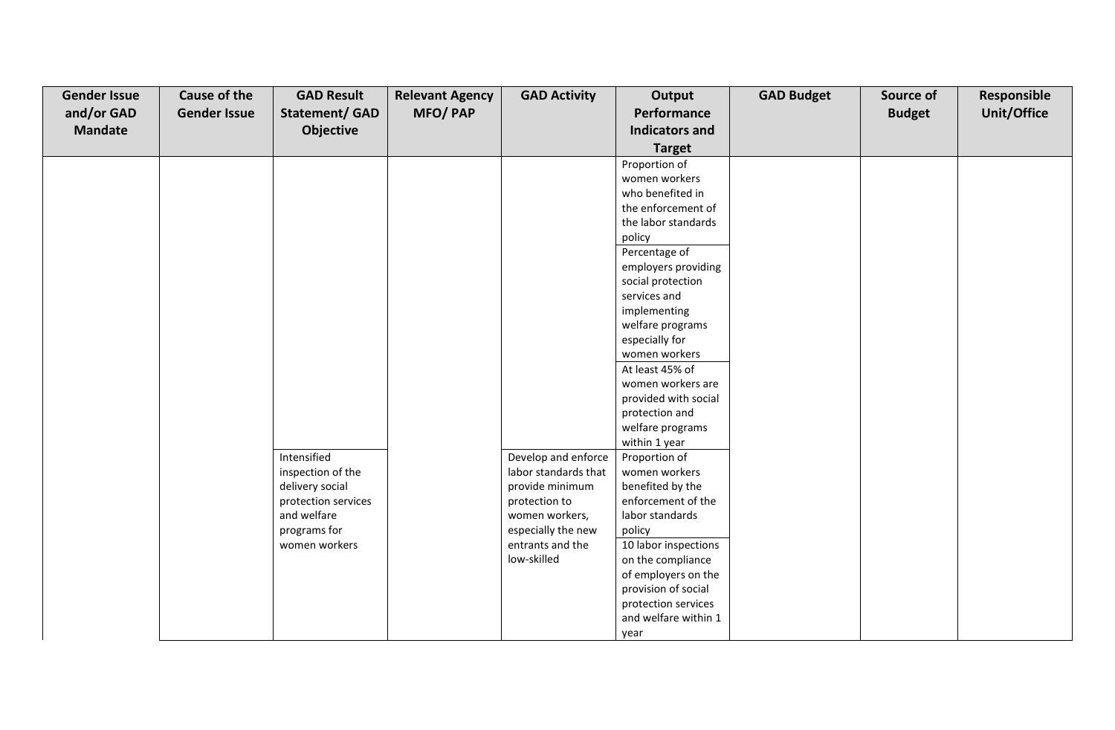| <b>Gender Issue</b><br>and/or GAD<br><b>Mandate</b> | <b>Cause of the</b><br><b>Gender Issue</b> | <b>GAD Result</b><br><b>Statement/ GAD</b><br>Objective | <b>Relevant Agency</b><br><b>MFO/PAP</b> | <b>GAD Activity</b>                  | Output<br>Performance<br><b>Indicators and</b> | <b>GAD Budget</b> | Source of<br><b>Budget</b> | Responsible<br>Unit/Office |
|-----------------------------------------------------|--------------------------------------------|---------------------------------------------------------|------------------------------------------|--------------------------------------|------------------------------------------------|-------------------|----------------------------|----------------------------|
|                                                     |                                            |                                                         |                                          |                                      | <b>Target</b>                                  |                   |                            |                            |
|                                                     |                                            |                                                         |                                          |                                      | Proportion of                                  |                   |                            |                            |
|                                                     |                                            |                                                         |                                          |                                      | women workers                                  |                   |                            |                            |
|                                                     |                                            |                                                         |                                          |                                      | who benefited in                               |                   |                            |                            |
|                                                     |                                            |                                                         |                                          |                                      | the enforcement of                             |                   |                            |                            |
|                                                     |                                            |                                                         |                                          |                                      | the labor standards                            |                   |                            |                            |
|                                                     |                                            |                                                         |                                          |                                      | policy                                         |                   |                            |                            |
|                                                     |                                            |                                                         |                                          |                                      | Percentage of                                  |                   |                            |                            |
|                                                     |                                            |                                                         |                                          |                                      | employers providing                            |                   |                            |                            |
|                                                     |                                            |                                                         |                                          |                                      | social protection                              |                   |                            |                            |
|                                                     |                                            |                                                         |                                          |                                      | services and<br>implementing                   |                   |                            |                            |
|                                                     |                                            |                                                         |                                          |                                      | welfare programs                               |                   |                            |                            |
|                                                     |                                            |                                                         |                                          |                                      | especially for                                 |                   |                            |                            |
|                                                     |                                            |                                                         |                                          |                                      | women workers                                  |                   |                            |                            |
|                                                     |                                            |                                                         |                                          |                                      | At least 45% of                                |                   |                            |                            |
|                                                     |                                            |                                                         |                                          |                                      | women workers are                              |                   |                            |                            |
|                                                     |                                            |                                                         |                                          |                                      | provided with social                           |                   |                            |                            |
|                                                     |                                            |                                                         |                                          |                                      | protection and                                 |                   |                            |                            |
|                                                     |                                            |                                                         |                                          |                                      | welfare programs                               |                   |                            |                            |
|                                                     |                                            |                                                         |                                          |                                      | within 1 year                                  |                   |                            |                            |
|                                                     |                                            | Intensified                                             |                                          | Develop and enforce                  | Proportion of                                  |                   |                            |                            |
|                                                     |                                            | inspection of the                                       |                                          | labor standards that                 | women workers                                  |                   |                            |                            |
|                                                     |                                            | delivery social                                         |                                          | provide minimum                      | benefited by the                               |                   |                            |                            |
|                                                     |                                            | protection services                                     |                                          | protection to                        | enforcement of the                             |                   |                            |                            |
|                                                     |                                            | and welfare                                             |                                          | women workers,<br>especially the new | labor standards                                |                   |                            |                            |
|                                                     |                                            | programs for<br>women workers                           |                                          | entrants and the                     | policy<br>10 labor inspections                 |                   |                            |                            |
|                                                     |                                            |                                                         |                                          | low-skilled                          | on the compliance                              |                   |                            |                            |
|                                                     |                                            |                                                         |                                          |                                      | of employers on the                            |                   |                            |                            |
|                                                     |                                            |                                                         |                                          |                                      | provision of social                            |                   |                            |                            |
|                                                     |                                            |                                                         |                                          |                                      | protection services                            |                   |                            |                            |
|                                                     |                                            |                                                         |                                          |                                      | and welfare within 1                           |                   |                            |                            |
|                                                     |                                            |                                                         |                                          |                                      | year                                           |                   |                            |                            |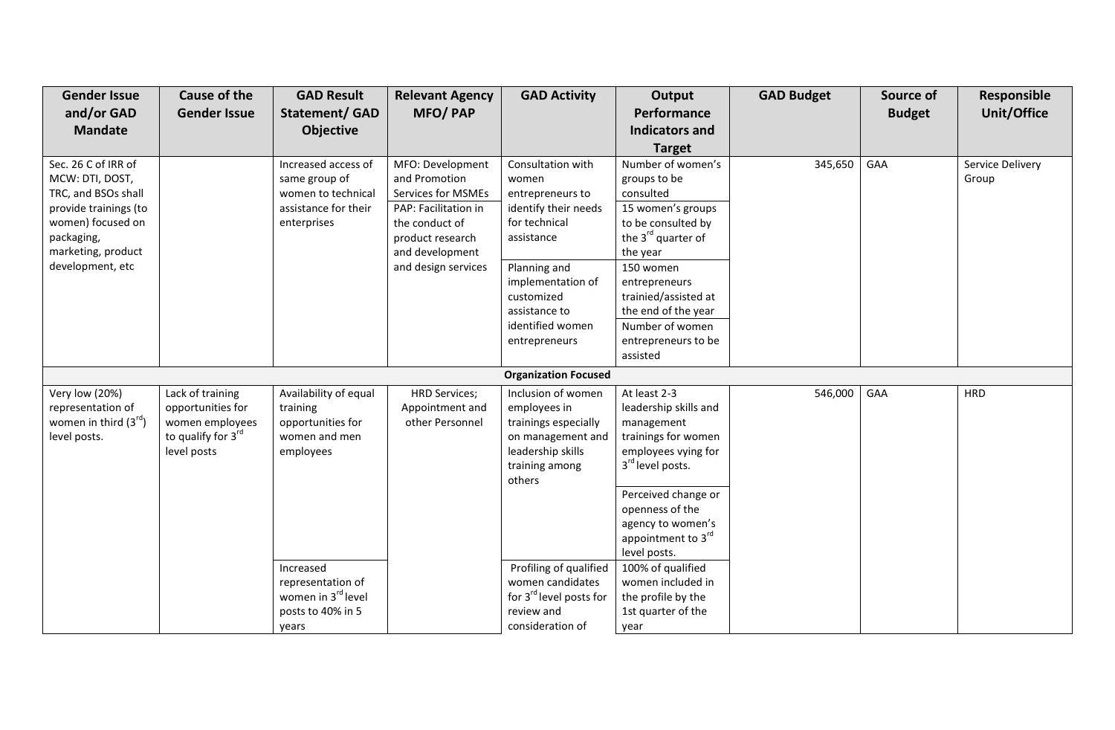| <b>Gender Issue</b>                                                                                                                                                 | <b>Cause of the</b>                                                                           | <b>GAD Result</b>                                                                                 | <b>Relevant Agency</b>                                                                                                                                                 | <b>GAD Activity</b>                                                                                                                                                                                            | Output                                                                                                                                                                                                                                                                     | <b>GAD Budget</b> | Source of     | <b>Responsible</b>        |
|---------------------------------------------------------------------------------------------------------------------------------------------------------------------|-----------------------------------------------------------------------------------------------|---------------------------------------------------------------------------------------------------|------------------------------------------------------------------------------------------------------------------------------------------------------------------------|----------------------------------------------------------------------------------------------------------------------------------------------------------------------------------------------------------------|----------------------------------------------------------------------------------------------------------------------------------------------------------------------------------------------------------------------------------------------------------------------------|-------------------|---------------|---------------------------|
| and/or GAD                                                                                                                                                          | <b>Gender Issue</b>                                                                           | <b>Statement/ GAD</b>                                                                             | <b>MFO/PAP</b>                                                                                                                                                         |                                                                                                                                                                                                                | Performance                                                                                                                                                                                                                                                                |                   | <b>Budget</b> | <b>Unit/Office</b>        |
| <b>Mandate</b>                                                                                                                                                      |                                                                                               | <b>Objective</b>                                                                                  |                                                                                                                                                                        |                                                                                                                                                                                                                | <b>Indicators and</b>                                                                                                                                                                                                                                                      |                   |               |                           |
|                                                                                                                                                                     |                                                                                               |                                                                                                   |                                                                                                                                                                        |                                                                                                                                                                                                                | <b>Target</b>                                                                                                                                                                                                                                                              |                   |               |                           |
| Sec. 26 C of IRR of<br>MCW: DTI, DOST,<br>TRC, and BSOs shall<br>provide trainings (to<br>women) focused on<br>packaging,<br>marketing, product<br>development, etc |                                                                                               | Increased access of<br>same group of<br>women to technical<br>assistance for their<br>enterprises | MFO: Development<br>and Promotion<br><b>Services for MSMEs</b><br>PAP: Facilitation in<br>the conduct of<br>product research<br>and development<br>and design services | Consultation with<br>women<br>entrepreneurs to<br>identify their needs<br>for technical<br>assistance<br>Planning and<br>implementation of<br>customized<br>assistance to<br>identified women<br>entrepreneurs | Number of women's<br>groups to be<br>consulted<br>15 women's groups<br>to be consulted by<br>the 3 <sup>rd</sup> quarter of<br>the year<br>150 women<br>entrepreneurs<br>trainied/assisted at<br>the end of the year<br>Number of women<br>entrepreneurs to be<br>assisted | 345,650           | GAA           | Service Delivery<br>Group |
|                                                                                                                                                                     |                                                                                               |                                                                                                   |                                                                                                                                                                        | <b>Organization Focused</b>                                                                                                                                                                                    |                                                                                                                                                                                                                                                                            |                   |               |                           |
| Very low (20%)<br>representation of<br>women in third $(3^{rd})$<br>level posts.                                                                                    | Lack of training<br>opportunities for<br>women employees<br>to qualify for 3rd<br>level posts | Availability of equal<br>training<br>opportunities for<br>women and men<br>employees              | <b>HRD Services;</b><br>Appointment and<br>other Personnel                                                                                                             | Inclusion of women<br>employees in<br>trainings especially<br>on management and<br>leadership skills<br>training among<br>others                                                                               | At least 2-3<br>leadership skills and<br>management<br>trainings for women<br>employees vying for<br>3rd level posts.<br>Perceived change or<br>openness of the                                                                                                            | 546,000           | GAA           | <b>HRD</b>                |
|                                                                                                                                                                     |                                                                                               | Increased<br>representation of<br>women in 3rd level<br>posts to 40% in 5<br>years                |                                                                                                                                                                        | Profiling of qualified<br>women candidates<br>for 3 <sup>rd</sup> level posts for<br>review and<br>consideration of                                                                                            | agency to women's<br>appointment to 3rd<br>level posts.<br>100% of qualified<br>women included in<br>the profile by the<br>1st quarter of the<br>year                                                                                                                      |                   |               |                           |